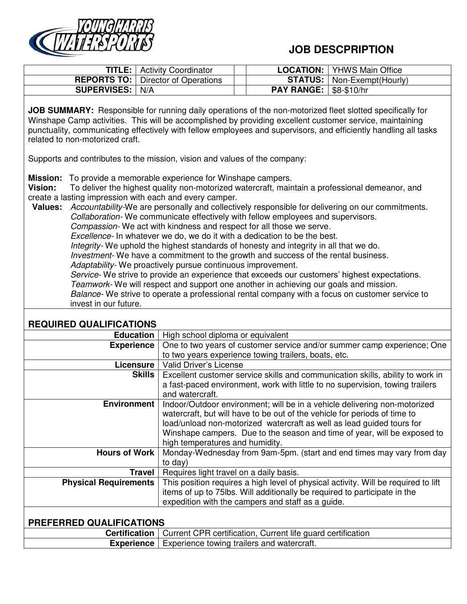

## **JOB DESCPRIPTION**

|                          | <b>TITLE:</b>   Activity Coordinator      |                                 | <b>LOCATION:</b>   YHWS Main Office |
|--------------------------|-------------------------------------------|---------------------------------|-------------------------------------|
|                          | <b>REPORTS TO:</b> Director of Operations |                                 | <b>STATUS:</b>   Non-Exempt(Hourly) |
| <b>SUPERVISES:   N/A</b> |                                           | <b>PAY RANGE:   \$8-\$10/hr</b> |                                     |
|                          |                                           |                                 |                                     |

**JOB SUMMARY:** Responsible for running daily operations of the non-motorized fleet slotted specifically for Winshape Camp activities. This will be accomplished by providing excellent customer service, maintaining punctuality, communicating effectively with fellow employees and supervisors, and efficiently handling all tasks related to non-motorized craft.

Supports and contributes to the mission, vision and values of the company:

**Mission:** To provide a memorable experience for Winshape campers.

**Vision:** To deliver the highest quality non-motorized watercraft, maintain a professional demeanor, and create a lasting impression with each and every camper.

**Values:** *Accountability-*We are personally and collectively responsible for delivering on our commitments. *Collaboration-* We communicate effectively with fellow employees and supervisors. *Compassion-* We act with kindness and respect for all those we serve*. Excellence-* In whatever we do, we do it with a dedication to be the best. *Integrity-* We uphold the highest standards of honesty and integrity in all that we do. *Investment-* We have a commitment to the growth and success of the rental business. *Adaptability-* We proactively pursue continuous improvement. *Service-* We strive to provide an experience that exceeds our customers' highest expectations. *Teamwork-* We will respect and support one another in achieving our goals and mission. *Balance-* We strive to operate a professional rental company with a focus on customer service to invest in our future.

## **REQUIRED QUALIFICATIONS**

|                              | <b>Education</b>   High school diploma or equivalent                                                        |  |
|------------------------------|-------------------------------------------------------------------------------------------------------------|--|
| <b>Experience</b>            | One to two years of customer service and/or summer camp experience; One                                     |  |
|                              | to two years experience towing trailers, boats, etc.                                                        |  |
| Licensure                    | Valid Driver's License                                                                                      |  |
| <b>Skills</b>                | Excellent customer service skills and communication skills, ability to work in                              |  |
|                              | a fast-paced environment, work with little to no supervision, towing trailers<br>and watercraft.            |  |
| <b>Environment</b>           | Indoor/Outdoor environment; will be in a vehicle delivering non-motorized                                   |  |
|                              | watercraft, but will have to be out of the vehicle for periods of time to                                   |  |
|                              | load/unload non-motorized watercraft as well as lead guided tours for                                       |  |
|                              | Winshape campers. Due to the season and time of year, will be exposed to<br>high temperatures and humidity. |  |
| <b>Hours of Work</b>         | Monday-Wednesday from 9am-5pm. (start and end times may vary from day                                       |  |
|                              | to day)                                                                                                     |  |
| Travel                       | Requires light travel on a daily basis.                                                                     |  |
| <b>Physical Requirements</b> | This position requires a high level of physical activity. Will be required to lift                          |  |
|                              | items of up to 75lbs. Will additionally be required to participate in the                                   |  |
|                              | expedition with the campers and staff as a guide.                                                           |  |
|                              |                                                                                                             |  |
| PREFERRED QUALIFICATIONS     |                                                                                                             |  |
| <b>Certification</b>         | Current CPR certification, Current life guard certification                                                 |  |
|                              | <b>Experience</b>   Experience towing trailers and watercraft.                                              |  |